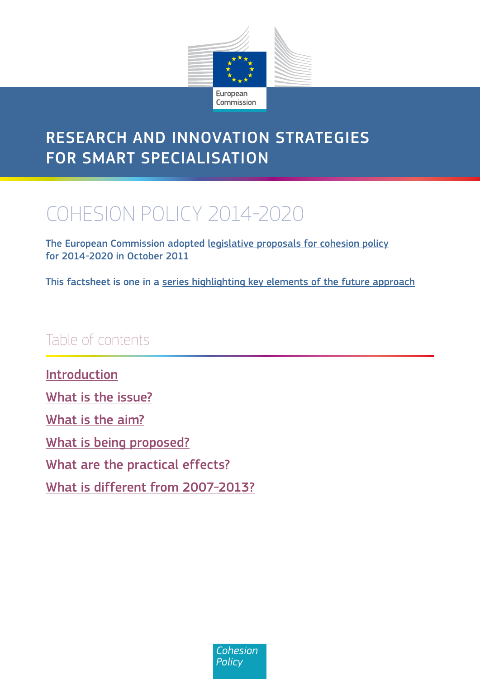

# <span id="page-0-0"></span>Research and innovation strategies for smart specialisation

# COHESION POLICY 2014-2020

The European Commission adopted [legislative proposals for cohesion policy](http://ec.europa.eu/regional_policy/what/future/proposals_2014_2020_en.cfm) for 2014-2020 in October 2011

This factsheet is one in a [series highlighting key elements of the future approach](http://ec.europa.eu/regional_policy/what/future/index_en.cfm)

# Table of contents

[Introduction](#page-1-0) What is [the issue?](#page-1-0) What is [the aim?](#page-2-0) What is [being proposed?](#page-5-0) [What are the practical effects?](#page-5-0) What is [different from 2007-2013?](#page-6-0)

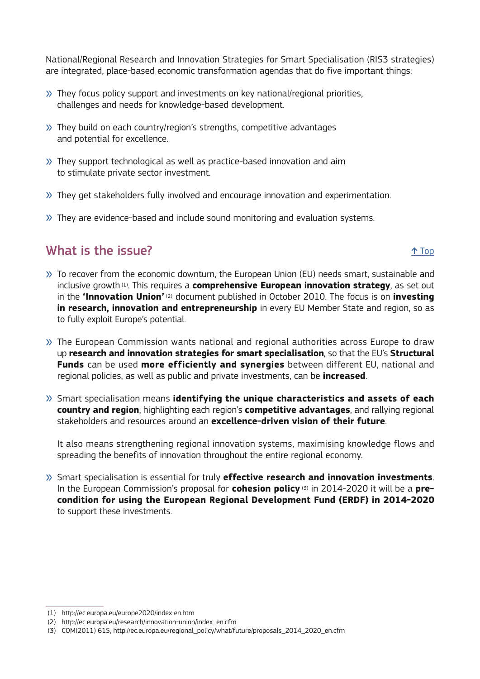<span id="page-1-0"></span>National/Regional Research and Innovation Strategies for Smart Specialisation (RIS3 strategies) are integrated, place-based economic transformation agendas that do five important things:

- » They focus policy support and investments on key national/regional priorities, challenges and needs for knowledge-based development.
- » They build on each country/region's strengths, competitive advantages and potential for excellence.
- » They support technological as well as practice-based innovation and aim to stimulate private sector investment.
- » They get stakeholders fully involved and encourage innovation and experimentation.
- » They are evidence-based and include sound monitoring and evaluation systems.

# What is the issue?  $\uparrow$  Top  $\uparrow$  Top  $\uparrow$  Top  $\uparrow$  Top

- » To recover from the economic downturn, the European Union (EU) needs smart, sustainable and inclusive growth (1). This requires a **comprehensive European innovation strategy**, as set out in the **'Innovation Union'** (2) document published in October 2010. The focus is on **investing in research, innovation and entrepreneurship** in every EU Member State and region, so as to fully exploit Europe's potential.
- » The European Commission wants national and regional authorities across Europe to draw up **research and innovation strategies for smart specialisation**, so that the EU's **Structural Funds** can be used **more efficiently and synergies** between different EU, national and regional policies, as well as public and private investments, can be **increased**.
- » Smart specialisation means **identifying the unique characteristics and assets of each country and region**, highlighting each region's **competitive advantages**, and rallying regional stakeholders and resources around an **excellence-driven vision of their future**.

It also means strengthening regional innovation systems, maximising knowledge flows and spreading the benefits of innovation throughout the entire regional economy.

» Smart specialisation is essential for truly **effective research and innovation investments**. In the European Commission's proposal for **cohesion policy** (3) in 2014-2020 it will be a **precondition for using the European Regional Development Fund (ERDF) in 2014-2020**  to support these investments.

 <sup>(1)</sup> http://ec.europa.eu/europe2020/index en.htm

 <sup>(2)</sup> http://ec.europa.eu/research/innovation-union/index\_en.cfm

 <sup>(3)</sup> COM(2011) 615, http://ec.europa.eu/regional\_policy/what/future/proposals\_2014\_2020\_en.cfm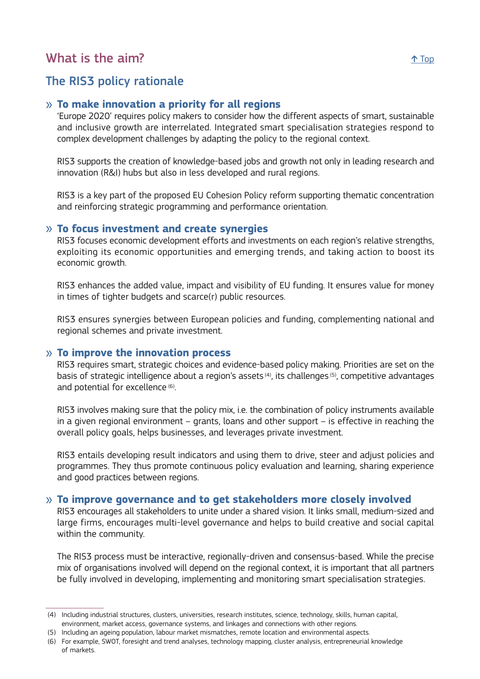# <span id="page-2-0"></span>What is the aim?  $\uparrow$  Top  $\uparrow$  Top  $\uparrow$  Top  $\uparrow$  Top  $\uparrow$  Top  $\uparrow$  Top  $\uparrow$  Top  $\uparrow$  Top  $\uparrow$  Top  $\uparrow$  Top  $\uparrow$  Top  $\uparrow$  Top  $\uparrow$  Top  $\uparrow$  Top  $\uparrow$  Top  $\uparrow$  Top  $\uparrow$  Top  $\uparrow$  Top  $\uparrow$  Top  $\uparrow$  Top  $\uparrow$

# The RIS3 policy rationale

### » **To make innovation a priority for all regions**

'Europe 2020' requires policy makers to consider how the different aspects of smart, sustainable and inclusive growth are interrelated. Integrated smart specialisation strategies respond to complex development challenges by adapting the policy to the regional context.

RIS3 supports the creation of knowledge-based jobs and growth not only in leading research and innovation (R&I) hubs but also in less developed and rural regions.

RIS3 is a key part of the proposed EU Cohesion Policy reform supporting thematic concentration and reinforcing strategic programming and performance orientation.

#### » **To focus investment and create synergies**

RIS3 focuses economic development efforts and investments on each region's relative strengths, exploiting its economic opportunities and emerging trends, and taking action to boost its economic growth.

RIS3 enhances the added value, impact and visibility of EU funding. It ensures value for money in times of tighter budgets and scarce(r) public resources.

RIS3 ensures synergies between European policies and funding, complementing national and regional schemes and private investment.

#### » **To improve the innovation process**

RIS3 requires smart, strategic choices and evidence-based policy making. Priorities are set on the basis of strategic intelligence about a region's assets (4), its challenges (5), competitive advantages and potential for excellence (6).

RIS3 involves making sure that the policy mix, i.e. the combination of policy instruments available in a given regional environment – grants, loans and other support – is effective in reaching the overall policy goals, helps businesses, and leverages private investment.

RIS3 entails developing result indicators and using them to drive, steer and adjust policies and programmes. They thus promote continuous policy evaluation and learning, sharing experience and good practices between regions.

#### » **To improve governance and to get stakeholders more closely involved**

RIS3 encourages all stakeholders to unite under a shared vision. It links small, medium-sized and large firms, encourages multi-level governance and helps to build creative and social capital within the community.

The RIS3 process must be interactive, regionally-driven and consensus-based. While the precise mix of organisations involved will depend on the regional context, it is important that all partners be fully involved in developing, implementing and monitoring smart specialisation strategies.

 <sup>(4)</sup> Including industrial structures, clusters, universities, research institutes, science, technology, skills, human capital, environment, market access, governance systems, and linkages and connections with other regions.

 <sup>(5)</sup> Including an ageing population, labour market mismatches, remote location and environmental aspects.

 <sup>(6)</sup> For example, SWOT, foresight and trend analyses, technology mapping, cluster analysis, entrepreneurial knowledge of markets.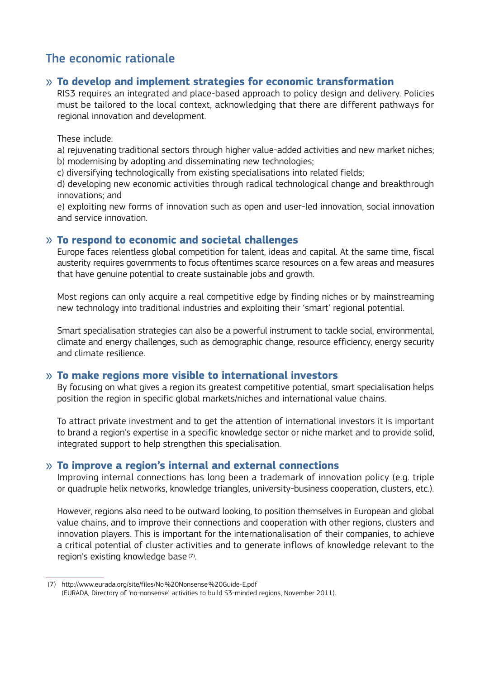# The economic rationale

### » **To develop and implement strategies for economic transformation**

RIS3 requires an integrated and place-based approach to policy design and delivery. Policies must be tailored to the local context, acknowledging that there are different pathways for regional innovation and development.

#### These include:

a) rejuvenating traditional sectors through higher value-added activities and new market niches; b) modernising by adopting and disseminating new technologies;

c) diversifying technologically from existing specialisations into related fields;

d) developing new economic activities through radical technological change and breakthrough innovations; and

e) exploiting new forms of innovation such as open and user-led innovation, social innovation and service innovation.

#### » **To respond to economic and societal challenges**

Europe faces relentless global competition for talent, ideas and capital. At the same time, fiscal austerity requires governments to focus oftentimes scarce resources on a few areas and measures that have genuine potential to create sustainable jobs and growth.

Most regions can only acquire a real competitive edge by finding niches or by mainstreaming new technology into traditional industries and exploiting their 'smart' regional potential.

Smart specialisation strategies can also be a powerful instrument to tackle social, environmental, climate and energy challenges, such as demographic change, resource efficiency, energy security and climate resilience.

#### » **To make regions more visible to international investors**

By focusing on what gives a region its greatest competitive potential, smart specialisation helps position the region in specific global markets/niches and international value chains.

To attract private investment and to get the attention of international investors it is important to brand a region's expertise in a specific knowledge sector or niche market and to provide solid, integrated support to help strengthen this specialisation.

#### » **To improve a region's internal and external connections**

Improving internal connections has long been a trademark of innovation policy (e.g. triple or quadruple helix networks, knowledge triangles, university-business cooperation, clusters, etc.).

However, regions also need to be outward looking, to position themselves in European and global value chains, and to improve their connections and cooperation with other regions, clusters and innovation players. This is important for the internationalisation of their companies, to achieve a critical potential of cluster activities and to generate inflows of knowledge relevant to the region's existing knowledge base (7).

 <sup>(7)</sup> http://www.eurada.org/site/files/No%20Nonsense%20Guide-E.pdf (EURADA, Directory of 'no-nonsense' activities to build S3-minded regions, November 2011).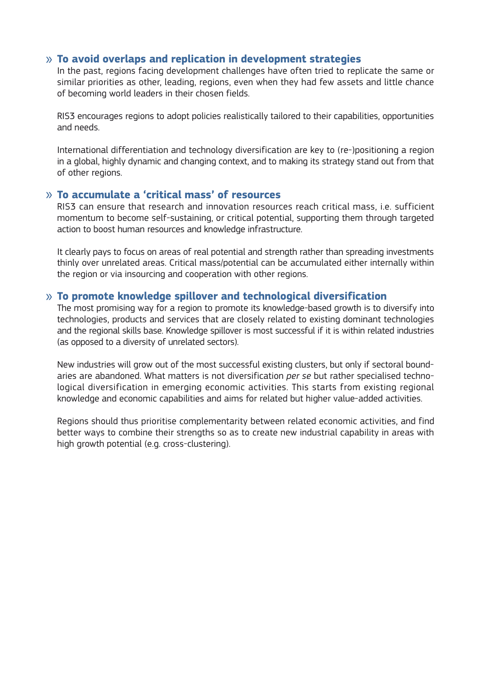#### » **To avoid overlaps and replication in development strategies**

In the past, regions facing development challenges have often tried to replicate the same or similar priorities as other, leading, regions, even when they had few assets and little chance of becoming world leaders in their chosen fields.

RIS3 encourages regions to adopt policies realistically tailored to their capabilities, opportunities and needs.

International differentiation and technology diversification are key to (re-)positioning a region in a global, highly dynamic and changing context, and to making its strategy stand out from that of other regions.

#### » **To accumulate a 'critical mass' of resources**

RIS3 can ensure that research and innovation resources reach critical mass, i.e. sufficient momentum to become self-sustaining, or critical potential, supporting them through targeted action to boost human resources and knowledge infrastructure.

It clearly pays to focus on areas of real potential and strength rather than spreading investments thinly over unrelated areas. Critical mass/potential can be accumulated either internally within the region or via insourcing and cooperation with other regions.

#### » **To promote knowledge spillover and technological diversification**

The most promising way for a region to promote its knowledge-based growth is to diversify into technologies, products and services that are closely related to existing dominant technologies and the regional skills base. Knowledge spillover is most successful if it is within related industries (as opposed to a diversity of unrelated sectors).

New industries will grow out of the most successful existing clusters, but only if sectoral boundaries are abandoned. What matters is not diversification *per se* but rather specialised technological diversification in emerging economic activities. This starts from existing regional knowledge and economic capabilities and aims for related but higher value-added activities.

Regions should thus prioritise complementarity between related economic activities, and find better ways to combine their strengths so as to create new industrial capability in areas with high growth potential (e.g. cross-clustering).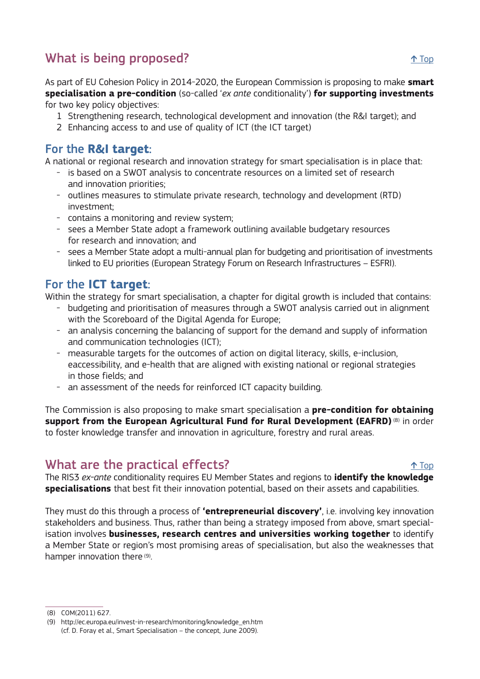# <span id="page-5-0"></span>What is being proposed?  $\uparrow$  Top

As part of EU Cohesion Policy in 2014-2020, the European Commission is proposing to make **smart specialisation a pre-condition** (so-called '*ex ante* conditionality') **for supporting investments**  for two key policy objectives:

- 1 Strengthening research, technological development and innovation (the R&I target); and
- 2 Enhancing access to and use of quality of ICT (the ICT target)

# For the **R&I target**:

A national or regional research and innovation strategy for smart specialisation is in place that:

- is based on a SWOT analysis to concentrate resources on a limited set of research and innovation priorities;
- outlines measures to stimulate private research, technology and development (RTD) investment;
- contains a monitoring and review system;
- sees a Member State adopt a framework outlining available budgetary resources for research and innovation; and
- sees a Member State adopt a multi-annual plan for budgeting and prioritisation of investments linked to EU priorities (European Strategy Forum on Research Infrastructures – ESFRI).

# For the **ICT target**:

Within the strategy for smart specialisation, a chapter for digital growth is included that contains:

- budgeting and prioritisation of measures through a SWOT analysis carried out in alignment with the Scoreboard of the Digital Agenda for Europe;
- an analysis concerning the balancing of support for the demand and supply of information and communication technologies (ICT);
- measurable targets for the outcomes of action on digital literacy, skills, e-inclusion, eaccessibility, and e-health that are aligned with existing national or regional strategies in those fields; and
- an assessment of the needs for reinforced ICT capacity building.

The Commission is also proposing to make smart specialisation a **pre-condition for obtaining support from the European Agricultural Fund for Rural Development (EAFRD)** (8) in order to foster knowledge transfer and innovation in agriculture, forestry and rural areas.

# What are the practical effects?  $\uparrow$  Top  $\uparrow$  Top

The RIS3 *ex-ante* conditionality requires EU Member States and regions to **identify the knowledge specialisations** that best fit their innovation potential, based on their assets and capabilities.

They must do this through a process of **'entrepreneurial discovery'**, i.e. involving key innovation stakeholders and business. Thus, rather than being a strategy imposed from above, smart specialisation involves **businesses, research centres and universities working together** to identify a Member State or region's most promising areas of specialisation, but also the weaknesses that hamper innovation there (9).

 <sup>(8)</sup> COM(2011) 627.

 <sup>(9)</sup> http://ec.europa.eu/invest-in-research/monitoring/knowledge\_en.htm (cf. D. Foray et al., Smart Specialisation – the concept, June 2009).